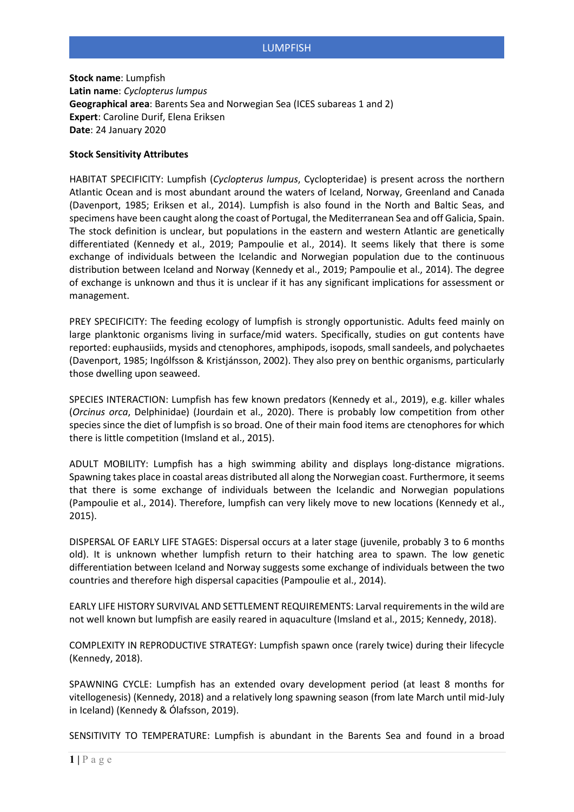## LUMPFISH

**Stock name**: Lumpfish **Latin name**: *Cyclopterus lumpus* **Geographical area**: Barents Sea and Norwegian Sea (ICES subareas 1 and 2) **Expert**: Caroline Durif, Elena Eriksen **Date**: 24 January 2020

### **Stock Sensitivity Attributes**

HABITAT SPECIFICITY: Lumpfish (*Cyclopterus lumpus*, Cyclopteridae) is present across the northern Atlantic Ocean and is most abundant around the waters of Iceland, Norway, Greenland and Canada (Davenport, 1985; Eriksen et al., 2014). Lumpfish is also found in the North and Baltic Seas, and specimens have been caught along the coast of Portugal, the Mediterranean Sea and off Galicia, Spain. The stock definition is unclear, but populations in the eastern and western Atlantic are genetically differentiated (Kennedy et al., 2019; Pampoulie et al., 2014). It seems likely that there is some exchange of individuals between the Icelandic and Norwegian population due to the continuous distribution between Iceland and Norway (Kennedy et al., 2019; Pampoulie et al., 2014). The degree of exchange is unknown and thus it is unclear if it has any significant implications for assessment or management.

PREY SPECIFICITY: The feeding ecology of lumpfish is strongly opportunistic. Adults feed mainly on large planktonic organisms living in surface/mid waters. Specifically, studies on gut contents have reported: euphausiids, mysids and ctenophores, amphipods, isopods, small sandeels, and polychaetes (Davenport, 1985; Ingólfsson & Kristjánsson, 2002). They also prey on benthic organisms, particularly those dwelling upon seaweed.

SPECIES INTERACTION: Lumpfish has few known predators (Kennedy et al., 2019), e.g. killer whales (*Orcinus orca*, Delphinidae) (Jourdain et al., 2020). There is probably low competition from other species since the diet of lumpfish is so broad. One of their main food items are ctenophores for which there is little competition (Imsland et al., 2015).

ADULT MOBILITY: Lumpfish has a high swimming ability and displays long-distance migrations. Spawning takes place in coastal areas distributed all along the Norwegian coast. Furthermore, it seems that there is some exchange of individuals between the Icelandic and Norwegian populations (Pampoulie et al., 2014). Therefore, lumpfish can very likely move to new locations (Kennedy et al., 2015).

DISPERSAL OF EARLY LIFE STAGES: Dispersal occurs at a later stage (juvenile, probably 3 to 6 months old). It is unknown whether lumpfish return to their hatching area to spawn. The low genetic differentiation between Iceland and Norway suggests some exchange of individuals between the two countries and therefore high dispersal capacities (Pampoulie et al., 2014).

EARLY LIFE HISTORY SURVIVAL AND SETTLEMENT REQUIREMENTS: Larval requirements in the wild are not well known but lumpfish are easily reared in aquaculture (Imsland et al., 2015; Kennedy, 2018).

COMPLEXITY IN REPRODUCTIVE STRATEGY: Lumpfish spawn once (rarely twice) during their lifecycle (Kennedy, 2018).

SPAWNING CYCLE: Lumpfish has an extended ovary development period (at least 8 months for vitellogenesis) (Kennedy, 2018) and a relatively long spawning season (from late March until mid-July in Iceland) (Kennedy & Ólafsson, 2019).

SENSITIVITY TO TEMPERATURE: Lumpfish is abundant in the Barents Sea and found in a broad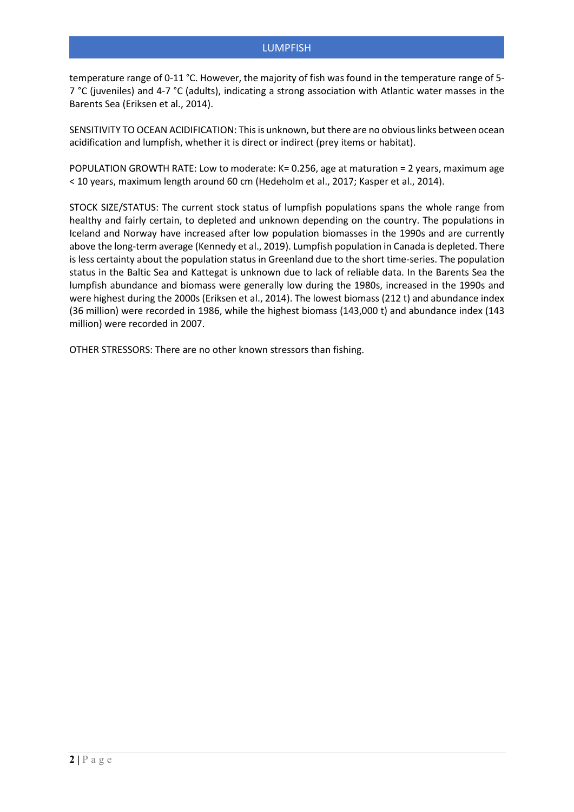temperature range of 0-11 °C. However, the majority of fish was found in the temperature range of 5- 7 °C (juveniles) and 4-7 °C (adults), indicating a strong association with Atlantic water masses in the Barents Sea (Eriksen et al., 2014).

SENSITIVITY TO OCEAN ACIDIFICATION: This is unknown, but there are no obvious links between ocean acidification and lumpfish, whether it is direct or indirect (prey items or habitat).

POPULATION GROWTH RATE: Low to moderate: K= 0.256, age at maturation = 2 years, maximum age < 10 years, maximum length around 60 cm (Hedeholm et al., 2017; Kasper et al., 2014).

STOCK SIZE/STATUS: The current stock status of lumpfish populations spans the whole range from healthy and fairly certain, to depleted and unknown depending on the country. The populations in Iceland and Norway have increased after low population biomasses in the 1990s and are currently above the long-term average (Kennedy et al., 2019). Lumpfish population in Canada is depleted. There is less certainty about the population status in Greenland due to the short time-series. The population status in the Baltic Sea and Kattegat is unknown due to lack of reliable data. In the Barents Sea the lumpfish abundance and biomass were generally low during the 1980s, increased in the 1990s and were highest during the 2000s (Eriksen et al., 2014). The lowest biomass (212 t) and abundance index (36 million) were recorded in 1986, while the highest biomass (143,000 t) and abundance index (143 million) were recorded in 2007.

OTHER STRESSORS: There are no other known stressors than fishing.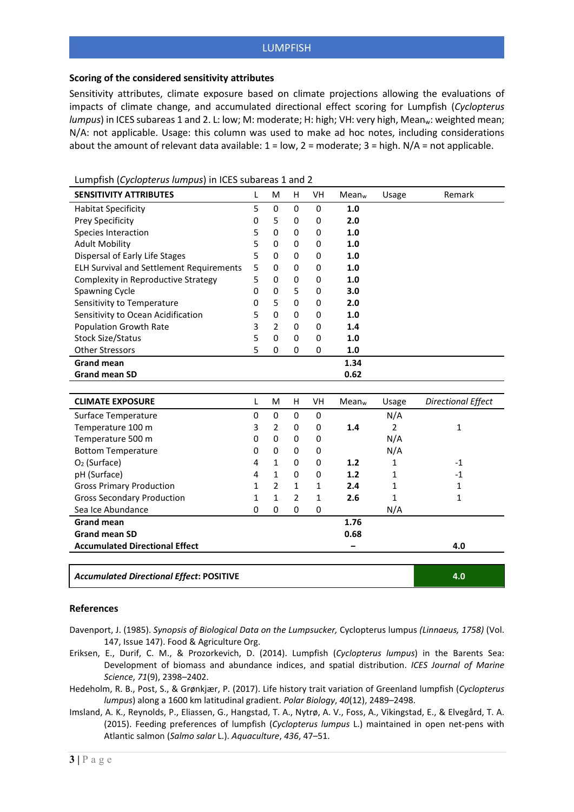# LUMPFISH

### **Scoring of the considered sensitivity attributes**

Sensitivity attributes, climate exposure based on climate projections allowing the evaluations of impacts of climate change, and accumulated directional effect scoring for Lumpfish (*Cyclopterus lumpus*) in ICES subareas 1 and 2. L: low; M: moderate; H: high; VH: very high, Mean<sub>w</sub>: weighted mean; N/A: not applicable. Usage: this column was used to make ad hoc notes, including considerations about the amount of relevant data available:  $1 = low$ ,  $2 = moderate$ ;  $3 = high$ .  $N/A = not$  applicable.

| <b>SENSITIVITY ATTRIBUTES</b>                   | L | M              | н              | VH           | Mean <sub>w</sub> | Usage          | Remark                    |
|-------------------------------------------------|---|----------------|----------------|--------------|-------------------|----------------|---------------------------|
| <b>Habitat Specificity</b>                      | 5 | $\pmb{0}$      | 0              | 0            | 1.0               |                |                           |
| Prey Specificity                                | 0 | 5              | 0              | 0            | 2.0               |                |                           |
| Species Interaction                             | 5 | $\Omega$       | 0              | 0            | 1.0               |                |                           |
| <b>Adult Mobility</b>                           | 5 | $\Omega$       | 0              | 0            | 1.0               |                |                           |
| Dispersal of Early Life Stages                  | 5 | 0              | 0              | 0            | 1.0               |                |                           |
| <b>ELH Survival and Settlement Requirements</b> | 5 | 0              | 0              | 0            | 1.0               |                |                           |
| Complexity in Reproductive Strategy             | 5 | 0              | 0              | 0            | 1.0               |                |                           |
| Spawning Cycle                                  | 0 | $\Omega$       | 5              | 0            | 3.0               |                |                           |
| Sensitivity to Temperature                      | 0 | 5              | 0              | 0            | 2.0               |                |                           |
| Sensitivity to Ocean Acidification              | 5 | $\Omega$       | 0              | 0            | 1.0               |                |                           |
| <b>Population Growth Rate</b>                   | 3 | 2              | 0              | 0            | 1.4               |                |                           |
| <b>Stock Size/Status</b>                        | 5 | 0              | 0              | 0            | 1.0               |                |                           |
| <b>Other Stressors</b>                          | 5 | $\Omega$       | $\Omega$       | 0            | 1.0               |                |                           |
| <b>Grand mean</b>                               |   |                |                |              | 1.34              |                |                           |
| <b>Grand mean SD</b>                            |   |                |                |              | 0.62              |                |                           |
|                                                 |   |                |                |              |                   |                |                           |
| <b>CLIMATE EXPOSURE</b>                         | L | M              | H              | <b>VH</b>    | Mean <sub>w</sub> | Usage          | <b>Directional Effect</b> |
| Surface Temperature                             | 0 | 0              | 0              | 0            |                   | N/A            |                           |
| Temperature 100 m                               | 3 | $\overline{2}$ | 0              | 0            | 1.4               | $\overline{2}$ | $\mathbf{1}$              |
| Temperature 500 m                               | 0 | $\Omega$       | $\Omega$       | 0            |                   | N/A            |                           |
| <b>Bottom Temperature</b>                       | 0 | $\Omega$       | $\Omega$       | 0            |                   | N/A            |                           |
| $O2$ (Surface)                                  | 4 | 1              | 0              | 0            | 1.2               | 1              | $-1$                      |
| pH (Surface)                                    | 4 | 1              | 0              | 0            | 1.2               | 1              | $-1$                      |
| <b>Gross Primary Production</b>                 | 1 | $\overline{2}$ | 1              | 1            | 2.4               | $\mathbf{1}$   | $\mathbf{1}$              |
| <b>Gross Secondary Production</b>               | 1 | $\mathbf{1}$   | $\overline{2}$ | $\mathbf{1}$ | 2.6               | $\mathbf{1}$   | 1                         |
| Sea Ice Abundance                               | 0 | $\Omega$       | 0              | 0            |                   | N/A            |                           |
| <b>Grand mean</b>                               |   |                |                |              | 1.76              |                |                           |
| <b>Grand mean SD</b>                            |   |                |                |              | 0.68              |                |                           |
| <b>Accumulated Directional Effect</b>           |   |                |                |              |                   |                | 4.0                       |
|                                                 |   |                |                |              |                   |                |                           |
| <b>Accumulated Directional Effect: POSITIVE</b> |   |                |                |              |                   |                | 4.0                       |

Lumpfish (*Cyclopterus lumpus*) in ICES subareas 1 and 2

#### **References**

- Davenport, J. (1985). *Synopsis of Biological Data on the Lumpsucker,* Cyclopterus lumpus *(Linnaeus, 1758)* (Vol. 147, Issue 147). Food & Agriculture Org.
- Eriksen, E., Durif, C. M., & Prozorkevich, D. (2014). Lumpfish (*Cyclopterus lumpus*) in the Barents Sea: Development of biomass and abundance indices, and spatial distribution. *ICES Journal of Marine Science*, *71*(9), 2398–2402.
- Hedeholm, R. B., Post, S., & Grønkjær, P. (2017). Life history trait variation of Greenland lumpfish (*Cyclopterus lumpus*) along a 1600 km latitudinal gradient. *Polar Biology*, *40*(12), 2489–2498.
- Imsland, A. K., Reynolds, P., Eliassen, G., Hangstad, T. A., Nytrø, A. V., Foss, A., Vikingstad, E., & Elvegård, T. A. (2015). Feeding preferences of lumpfish (*Cyclopterus lumpus* L.) maintained in open net-pens with Atlantic salmon (*Salmo salar* L.). *Aquaculture*, *436*, 47–51.